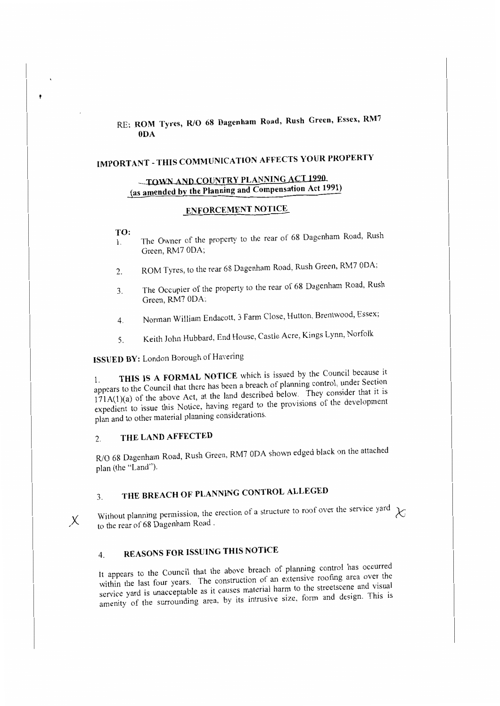# RE: ROM Tyres, R/O 68 Dagenham Road, Rush Green, Essex, RM7 ODA

# **IMPORTANT - THIS COMMUNICATION AFFECTS YOUR PROPERTY**

# **TOWN AND COUNTRY PLANNING ACT 1990 (as amended by the Planning and Compensation Act 1991)**

## **EN:FORCEMENT NOTICE**

#### **TO:**

j

- I. The Owner of the property to the rear of 68 Dagenham Road, Rush Green, RM7 ODA;
- 2. ROM Tyres, to the rear 68 Dagenham Road, Rush Green, RM7 0DA;
- 3. The Occupier of the property to the rear of 68 Dagenham Road, Rush Green, RM7 ODA;
- 4. Norman Wil!iam Endacott, 3 Farm Close, Hutton, Brentwood, Essex;
- 5. Keith John Hubbard, End House, Castle Acre, Kings Lynn, Norfolk

**ISSUED BY:** London Borough of Havering

THIS IS A FORMAL NOTICE which is issued by the Council because it appears to the Council that there bas heen a breach of planning control, under Section  $171A(1)(a)$  of the above Act, at the land described below. They consider that it is expedient to issue this Notice, having regard to the provisions of the development plan and to other material planning considerations.

## 2. **THE LAND AFFECTED**

R/O 68 Dagenham Road, Rush Green, RM7 ODA shown edged black on the attached plan (the "Land").

# 3. **THE BREACH OF PLANNING CONTROL ALLEGED**

Without planning permission, the erection of a structure to roof over the service yard  $\chi$  to the rear of 68 Dagenham Road.

# 4. **REASONS FOR ISSUING THIS NOTICE**

It appears to the Council that the above breach of planning control has occurred within the last four years. The construction of an extensive roofing area over the service yard is unacceptable as it causes material harm to the streetscene and visual amenity of the surrounding area, by its intrusive size, form and design. This is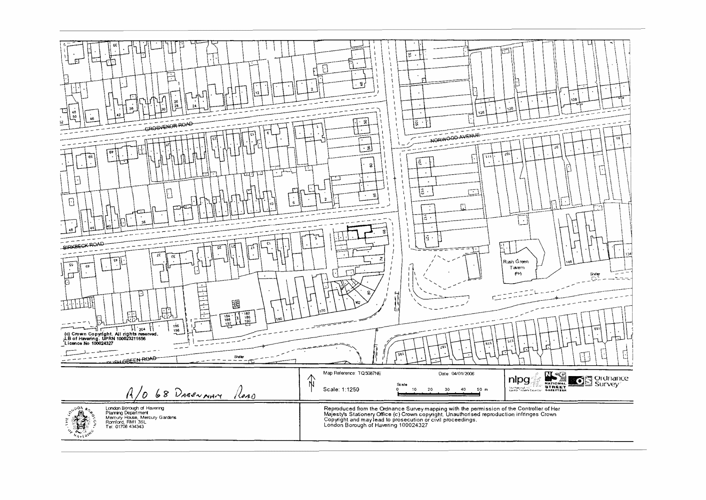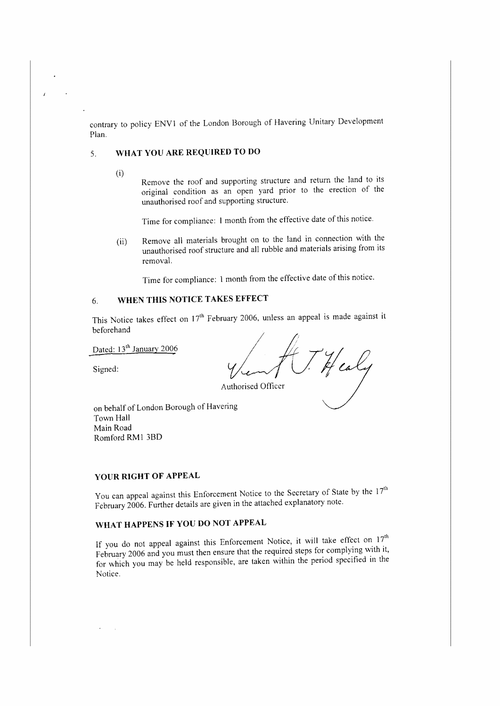contrary to policy ENVl of the London Borough of Havering Unitary Development Plan.

## 5. **WHAT YOU ARE REQURED TO DO**

(i)

Remove the roof and supporting structure and return the land to its original condition as an open yard prior to the erection of the unauthorised roof and supporting structure.

Time for compliance: 1 month from the effective date of this notice.

(ii) Remove all materials brought on to the land in connection with the unauthorised roof structure and all rubble and materials arising from its removal.

Time for compliance: I month from the effective date of this notice.

## 6. **WHEN THIS NOTICE TAKES EFFECT**

This Notice takes effect on  $17<sup>th</sup>$  February 2006, unless an appeal is made against it beforehand

Dated: 13<sup>th</sup> January 2006

Signed:

caly

Authorised Officer

on behalf of London Borough of Havering Town Hall Main Road Romford RMI 38D

### **YOUR RIGHT OF APPEAL**

You can appeal against this Enforcement Notice to the Secretary of State by the  $17<sup>th</sup>$ February 2006. Further details are given in the attached explanatory note.

## **WHAT HAPPENS IF YOU DO NOT APPEAL**

If you do not appeal against this Enforcement Notice, it will take effect on 17<sup>th</sup> February 2006 and you must then ensure that the required steps for complying with it, for which you may be held responsible, are taken within the period specified in the Notice.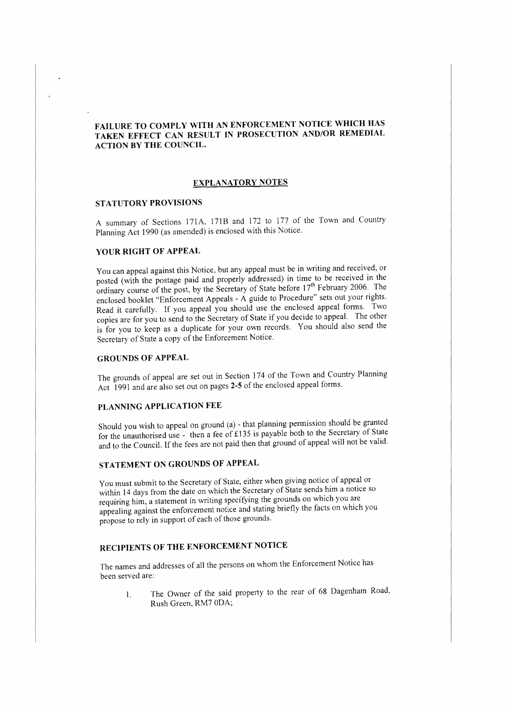## **FAILURE TO COMPLY WITH AN ENFORCEMENT NOTICE WHICH HAS TAKEN EFFECT CAN RESULT IN PROSECUTION AND/OR REMEDIAL ACTION BY THE COUNCIL.**

### **EXPLANATORY NOTES**

#### **STATUTORY PROVISIONS**

A summary of Sections 171A, 171B and 172 to 177 of the Town and Country Planning Act 1990 (as amended) is enclosed with this Notice.

#### **YOUR RIGHT OF APPEAL**

You can appeal against this Notice, but any appeal must be in writing and received, or posted (with the postage paid and properly addressed) in time to be received in the ordinary course of the post, by the Secretary of State before 1*ih* February 2006. The enclosed booklet "Enforcement Appeals - A guide to Procedure" sets out your rights. Read it carefully. If you appeal you should use the enclosed appeal forms. Two copies are for you to send to the Secretary of State if you decide to appeal. The other is for you to keep as a duplicate for your own records. You should also send the Secretary of State a copy of the Enforcement Notice.

### **GROUNDS OF APPEAL**

The grounds of appeal are set out in Section 174 of the Town and Country Planning Act 1991 and are also set out on pages **2-5** of the enclosed appeal forms.

## **PLANNING APPLICATION FEE**

Should you wish to appeal on ground (a) - that planning permission should be granted for the unauthorised use - then a fee of £135 is payable both to the Secretary of State and to the Council. If the fees are not paid then that ground of appeal will not be valid.

## **STATEMENT ON GROUNDS OF APPEAL**

You must submit to the Secretary of State, either when giving notice of appeal or within 14 days from the date on which the Secretary of State sends him a notice so requiring him, a statement in writing specifying the grounds on which you are appealing against the enforcement notice and stating briefly the facts on which you propose to rely in support of each of those grounds.

## **RECIPIENTS OF THE ENFORCEMENT NOTICE**

The names and addresses of all the persons on whom the Enforcement Notice has been served are:

l. The Owner of the said property to the rear of 68 Dagenham Road, Rush Green, RM7 ODA;